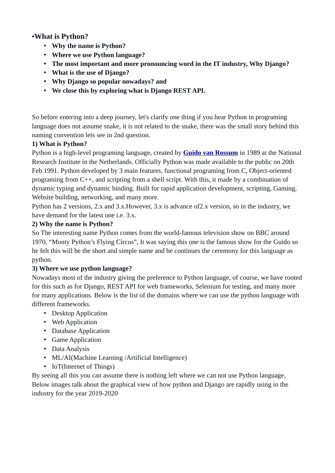# •**What is Python?**

- **Why the name is Python?**
- **Where we use Python language?**
- **The most important and more pronouncing word in the IT industry, Why Django?**
- **What is the use of Django?**
- **Why Django so popular nowadays? and**
- **We close this by exploring what is Django REST API.**

So before entering into a deep journey, let's clarify one thing if you hear Python in programing language does not assume snake, it is not related to the snake, there was the small story behind this naming convention lets see in 2nd question.

### **1) What is Python?**

Python is a high-level programing language, created by **[Guido van Rossum](https://en.wikipedia.org/wiki/Guido_van_Rossum)** in 1989 at the National Research Institute in the Netherlands. Officially Python was made available to the public on 20th Feb 1991. Python developed by 3 main features, functional programing from C, Object-oriented programing from C++, and scripting from a shell script. With this, it made by a combination of dynamic typing and dynamic binding. Built for rapid application development, scripting, Gaming, Website building, networking, and many more.

Python has 2 versions, 2.x and 3.x.However, 3.x is advance of2.x version, so in the industry, we have demand for the latest one i.e. 3.x.

### **2) Why the name is Python?**

So The interesting name Python comes from the world-famous television show on BBC around 1970, "Monty Python's Flying Circus", It was saying this one is the famous show for the Guido so he felt this will be the short and simple name and he continues the ceremony for this language as python.

## **3) Where we use python language?**

Nowadays most of the industry giving the preference to Python language, of course, we have rooted for this such as for Django, REST API for web frameworks, Selenium for testing, and many more for many applications. Below is the list of the domains where we can use the python language with different frameworks.

- Desktop Application
- Web Application
- Database Application
- Game Application
- Data Analysis
- ML/AI(Machine Learning /Artificial Intelligence)
- IoT(Internet of Things)

By seeing all this you can assume there is nothing left where we can not use Python language, Below images talk about the graphical view of how python and Django are rapidly using in the industry for the year 2019-2020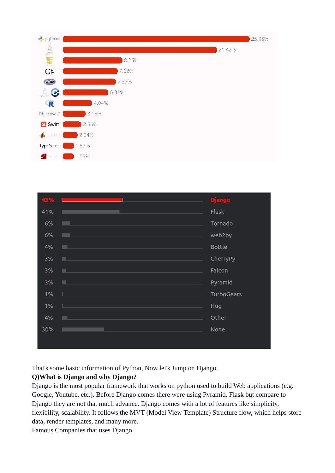

| 43% |                                                                                                                                                                                                                               | <b>Django</b> |
|-----|-------------------------------------------------------------------------------------------------------------------------------------------------------------------------------------------------------------------------------|---------------|
| 41% | and the state of the state of the state of the state of the                                                                                                                                                                   | Flask         |
| 6%  | and the control of the control of the control of the control of the control of the control of the control of the                                                                                                              | Tornado       |
| 6%  | and the state of the state of the state of the state of the state of the state of the state of the state of th                                                                                                                | web2py        |
| 4%  | and the state of the state of the state of the state of the state of the state of the state of the state of th                                                                                                                | <b>Bottle</b> |
| 3%  | the control of the control of the control of the control of the control of the control of the control of the control of the control of the control of the control of the control of the control of the control of the control | CherryPy      |
| 3%  | $\mathcal{L}^{\text{max}}_{\text{max}}$ and $\mathcal{L}^{\text{max}}_{\text{max}}$ and $\mathcal{L}^{\text{max}}_{\text{max}}$ and $\mathcal{L}^{\text{max}}_{\text{max}}$                                                   | Falcon        |
| 3%  | and the state of the state of the state of the state of the state of the state of the state of                                                                                                                                | Pyramid       |
| 1%  | the control of the control of the control of the control of the control of the control of the control of the control of the control of the control of the control of the control of the control of the control of the control | TurboGears    |
| 1%  | and the state of the state of the state of the state of the state of the state of the state of the state of th                                                                                                                | Hug           |
| 4%  | <b>Service Service</b>                                                                                                                                                                                                        | Other         |
| 30% | $\mathcal{L}^{\text{max}}_{\text{max}}$ and $\mathcal{L}^{\text{max}}_{\text{max}}$ and $\mathcal{L}^{\text{max}}_{\text{max}}$ and $\mathcal{L}^{\text{max}}_{\text{max}}$                                                   | None          |
|     |                                                                                                                                                                                                                               |               |

That's some basic information of Python, Now let's Jump on Django.

# **Q)What is Django and why Django?**

Django is the most popular framework that works on python used to build Web applications (e.g. Google, Youtube, etc.). Before Django comes there were using Pyramid, Flask but compare to Django they are not that much advance. Django comes with a lot of features like simplicity, flexibility, scalability. It follows the MVT (Model View Template) Structure flow, which helps store data, render templates, and many more.

Famous Companies that uses Django